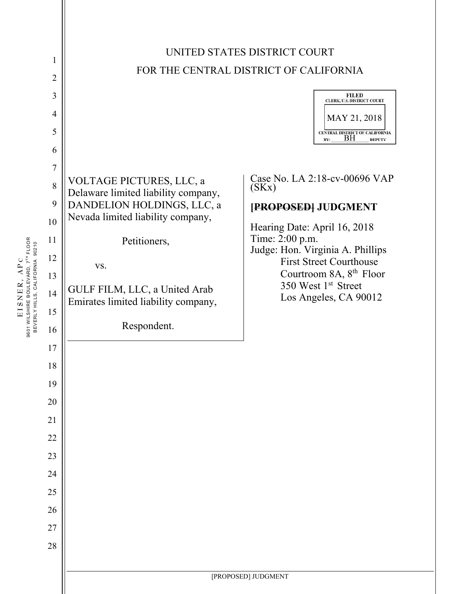

**EISNER, A P** EISNER, APC 9601 WILSHIRE BOULEVARD, 7<sup>TH</sup> FLOOR<br>BEVERLY HILLS, CALIFORNIA 90210 9601 WILSHIRE BOULEVARD, 7TH FLOOR BEVERLY HILLS, CALIFORNIA 90210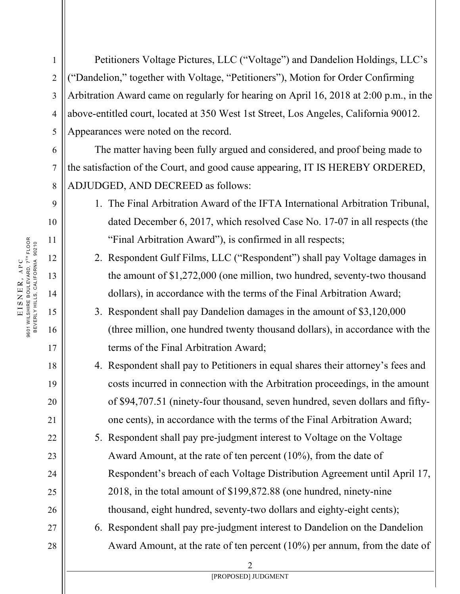Petitioners Voltage Pictures, LLC ("Voltage") and Dandelion Holdings, LLC's ("Dandelion," together with Voltage, "Petitioners"), Motion for Order Confirming Arbitration Award came on regularly for hearing on April 16, 2018 at 2:00 p.m., in the above-entitled court, located at 350 West 1st Street, Los Angeles, California 90012. Appearances were noted on the record.

The matter having been fully argued and considered, and proof being made to the satisfaction of the Court, and good cause appearing, IT IS HEREBY ORDERED, ADJUDGED, AND DECREED as follows:

- 1. The Final Arbitration Award of the IFTA International Arbitration Tribunal, dated December 6, 2017, which resolved Case No. 17-07 in all respects (the "Final Arbitration Award"), is confirmed in all respects;
- 2. Respondent Gulf Films, LLC ("Respondent") shall pay Voltage damages in the amount of \$1,272,000 (one million, two hundred, seventy-two thousand dollars), in accordance with the terms of the Final Arbitration Award;
- 3. Respondent shall pay Dandelion damages in the amount of \$3,120,000 (three million, one hundred twenty thousand dollars), in accordance with the terms of the Final Arbitration Award;
- 4. Respondent shall pay to Petitioners in equal shares their attorney's fees and costs incurred in connection with the Arbitration proceedings, in the amount of \$94,707.51 (ninety-four thousand, seven hundred, seven dollars and fiftyone cents), in accordance with the terms of the Final Arbitration Award;
- 5. Respondent shall pay pre-judgment interest to Voltage on the Voltage Award Amount, at the rate of ten percent (10%), from the date of Respondent's breach of each Voltage Distribution Agreement until April 17, 2018, in the total amount of \$199,872.88 (one hundred, ninety-nine thousand, eight hundred, seventy-two dollars and eighty-eight cents);
- 6. Respondent shall pay pre-judgment interest to Dandelion on the Dandelion Award Amount, at the rate of ten percent (10%) per annum, from the date of

1

2

3

4

5

6

7

8

9

10

11

12

13

14

15

16

17

18

19

20

21

22

23

24

25

26

27

28

2 [PROPOSED] JUDGMENT